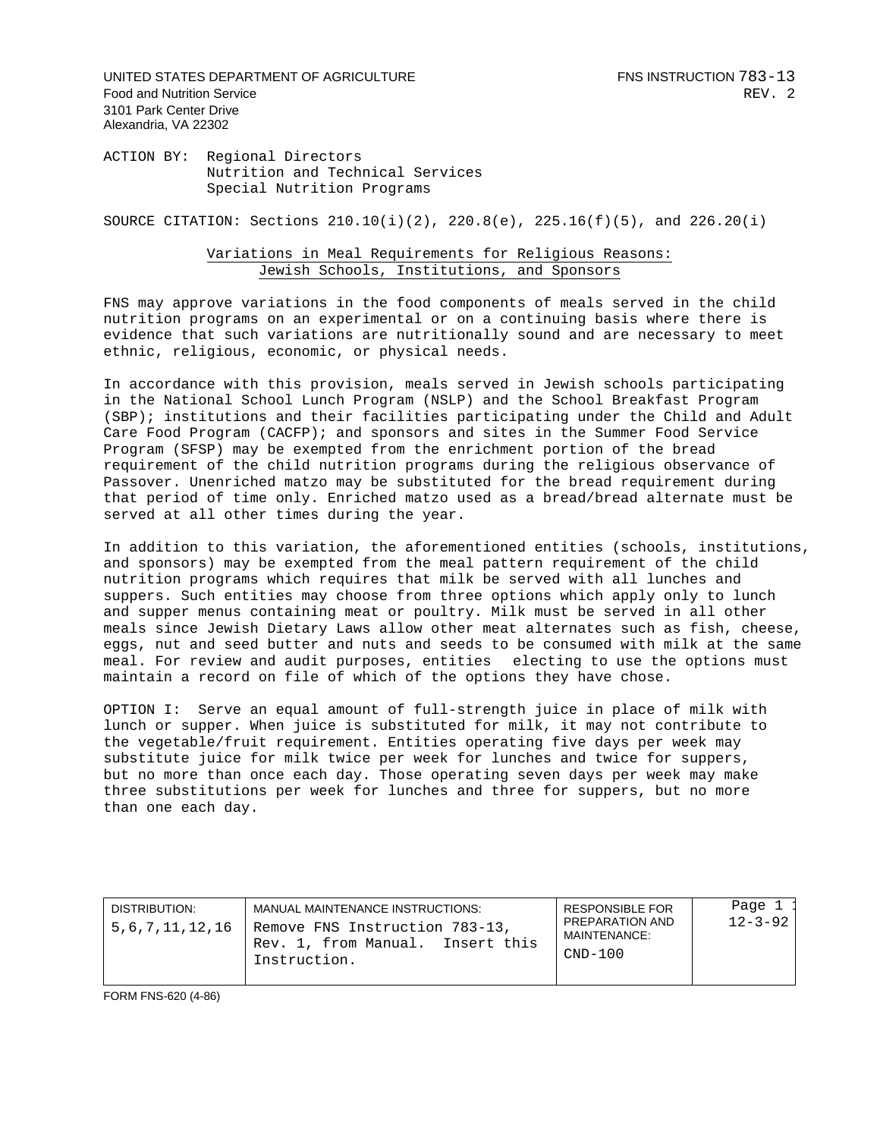UNITED STATES DEPARTMENT OF AGRICULTURE FOR THE RESERVE THIS INSTRUCTION 783-13 Food and Nutrition Service **REV.** 2 3101 Park Center Drive Alexandria, VA 22302

ACTION BY: Regional Directors Nutrition and Technical Services Special Nutrition Programs

SOURCE CITATION: Sections  $210.10(i)(2)$ ,  $220.8(e)$ ,  $225.16(f)(5)$ , and  $226.20(i)$ 

## Variations in Meal Requirements for Religious Reasons: Jewish Schools, Institutions, and Sponsors

FNS may approve variations in the food components of meals served in the child nutrition programs on an experimental or on a continuing basis where there is evidence that such variations are nutritionally sound and are necessary to meet ethnic, religious, economic, or physical needs.

In accordance with this provision, meals served in Jewish schools participating in the National School Lunch Program (NSLP) and the School Breakfast Program (SBP); institutions and their facilities participating under the Child and Adult Care Food Program (CACFP); and sponsors and sites in the Summer Food Service Program (SFSP) may be exempted from the enrichment portion of the bread requirement of the child nutrition programs during the religious observance of Passover. Unenriched matzo may be substituted for the bread requirement during that period of time only. Enriched matzo used as a bread/bread alternate must be served at all other times during the year.

In addition to this variation, the aforementioned entities (schools, institutions, and sponsors) may be exempted from the meal pattern requirement of the child nutrition programs which requires that milk be served with all lunches and suppers. Such entities may choose from three options which apply only to lunch and supper menus containing meat or poultry. Milk must be served in all other meals since Jewish Dietary Laws allow other meat alternates such as fish, cheese, eggs, nut and seed butter and nuts and seeds to be consumed with milk at the same meal. For review and audit purposes, entities electing to use the options must maintain a record on file of which of the options they have chose.

OPTION I: Serve an equal amount of full-strength juice in place of milk with lunch or supper. When juice is substituted for milk, it may not contribute to the vegetable/fruit requirement. Entities operating five days per week may substitute juice for milk twice per week for lunches and twice for suppers, but no more than once each day. Those operating seven days per week may make three substitutions per week for lunches and three for suppers, but no more than one each day.

| DISTRIBUTION:<br>5,6,7,11,12,16 | MANUAL MAINTENANCE INSTRUCTIONS:<br>Remove FNS Instruction 783-13,<br>Rev. 1, from Manual. Insert this<br>Instruction. | <b>RESPONSIBLE FOR</b><br>PREPARATION AND<br>MAINTENANCE:<br>CND-100 | Page 1<br>$12 - 3 - 92$ |
|---------------------------------|------------------------------------------------------------------------------------------------------------------------|----------------------------------------------------------------------|-------------------------|
|---------------------------------|------------------------------------------------------------------------------------------------------------------------|----------------------------------------------------------------------|-------------------------|

FORM FNS-620 (4-86)